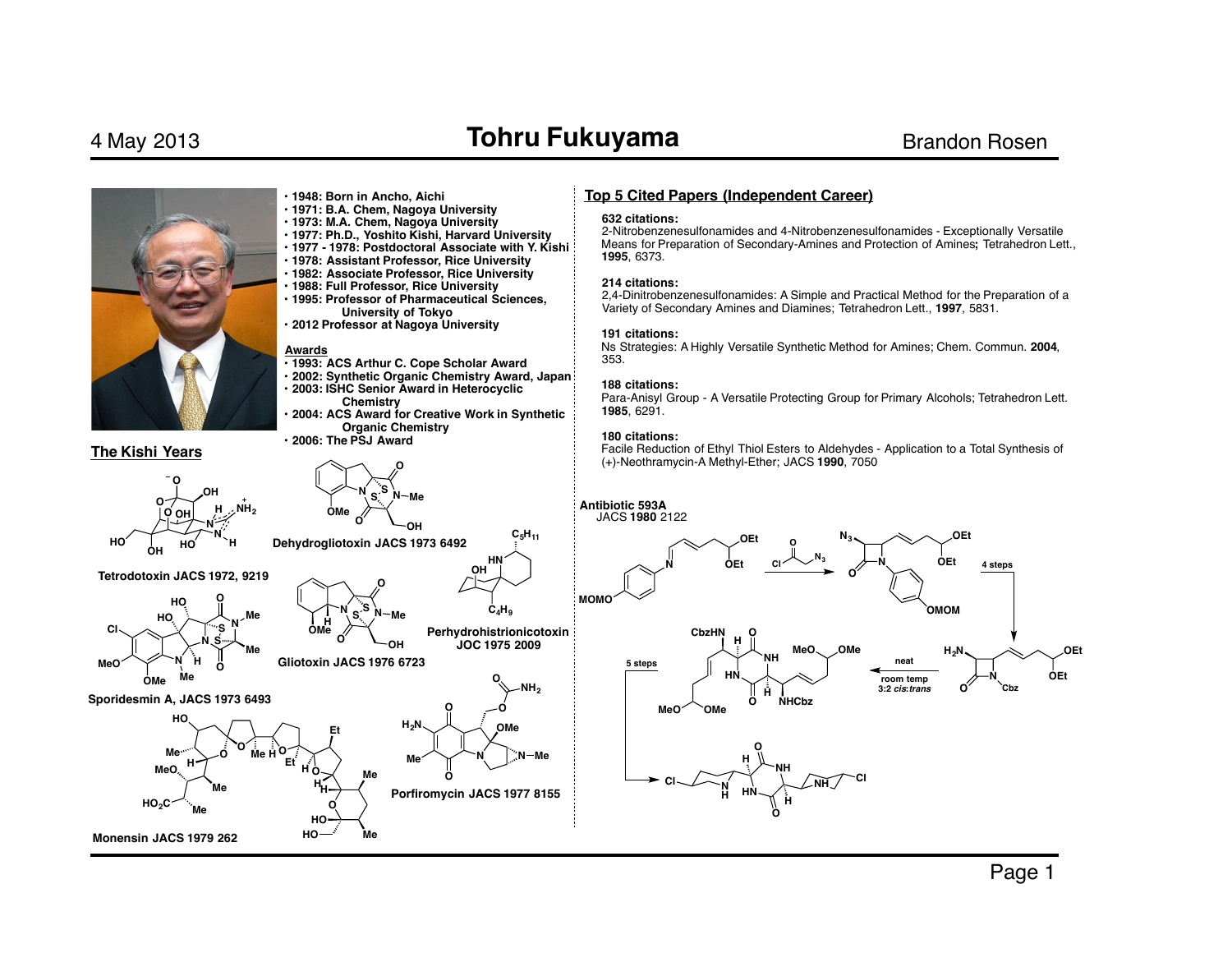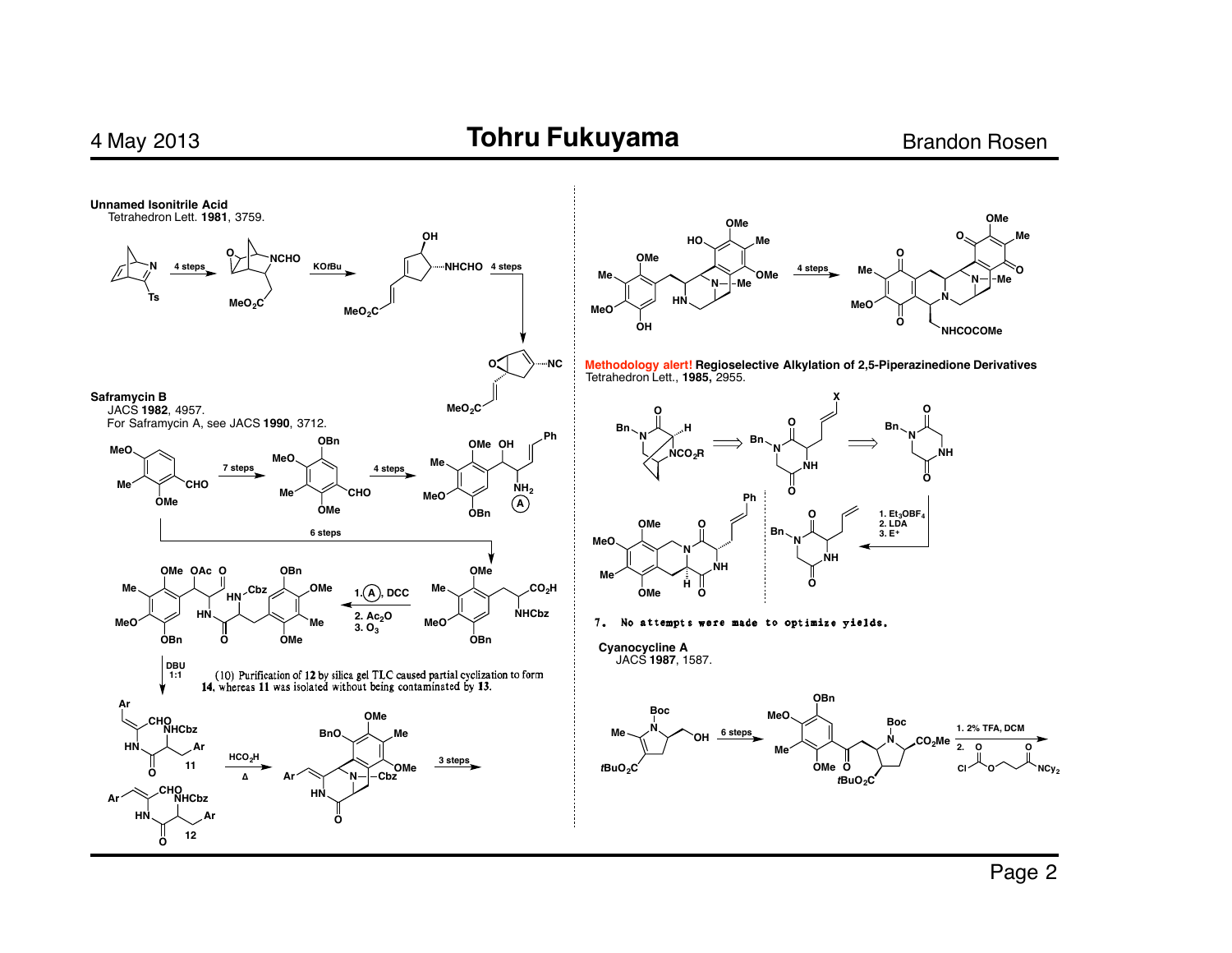M۵

-Me

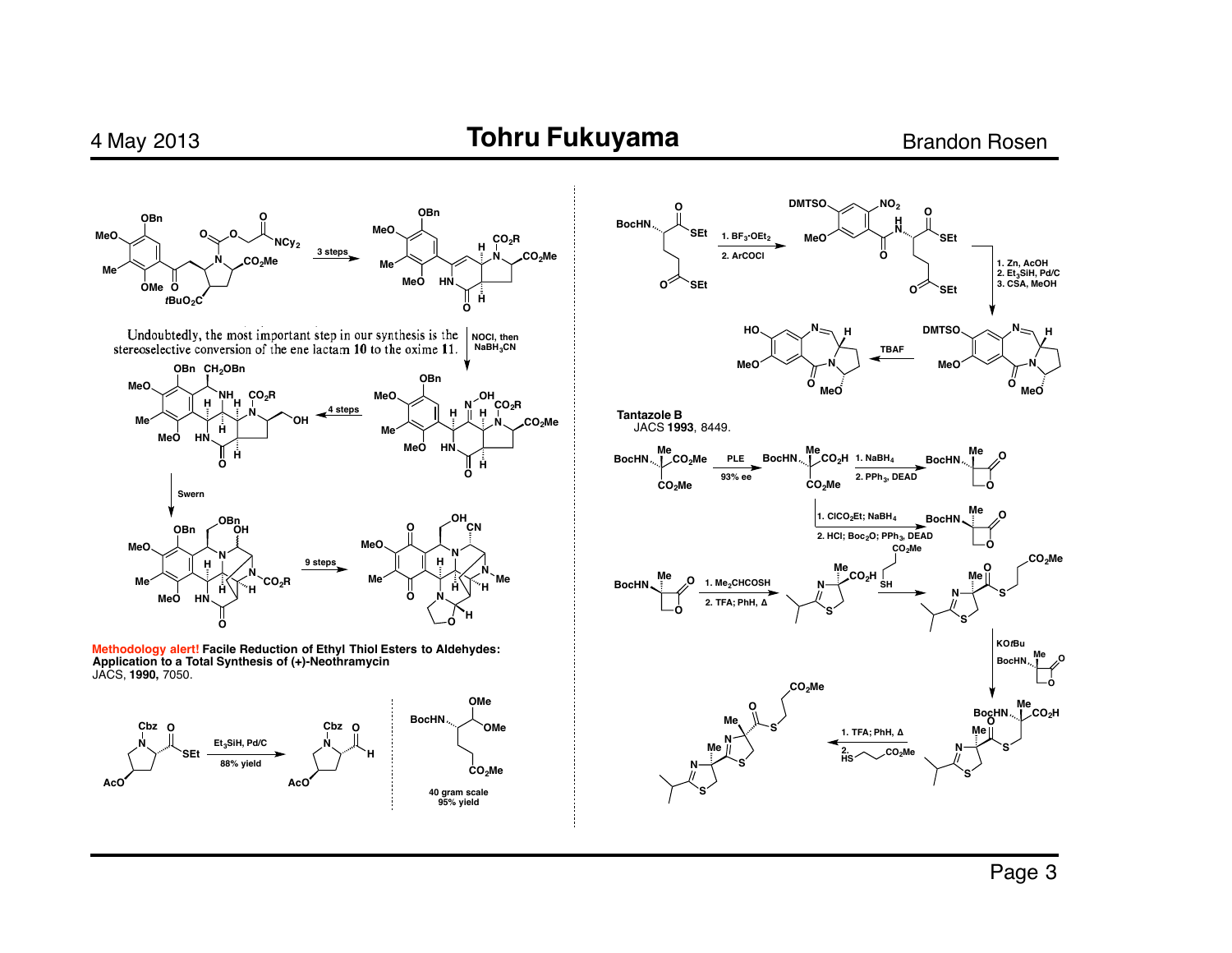

Methodology alert! Facile Reduction of Ethyl Thiol Esters to Aldehydes: Application to a Total Synthesis of (+)-Neothramycin JACS, 1990, 7050.



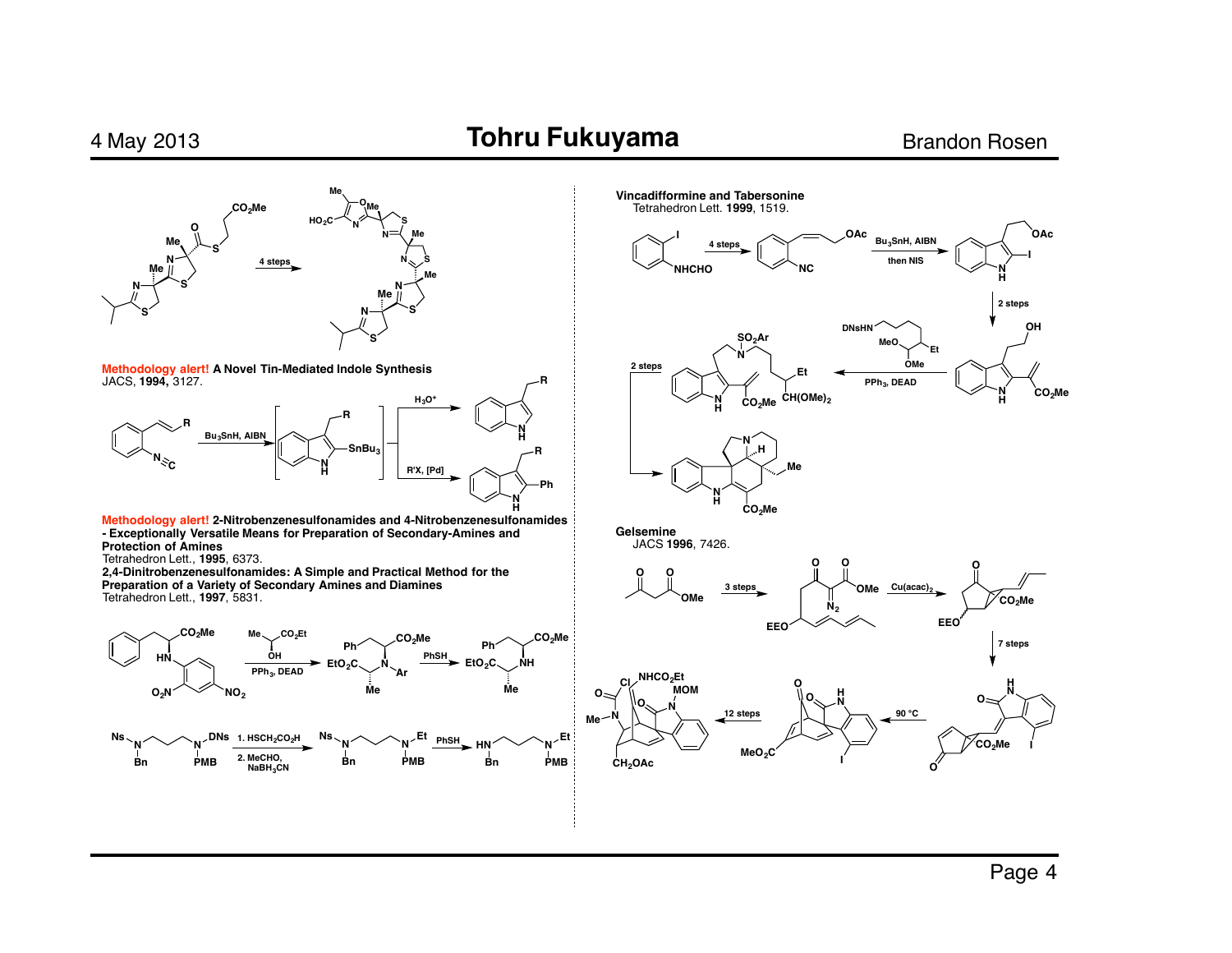



**<sup>H</sup> <sup>O</sup> <sup>N</sup>**

**I**

**MeO2C**

**12 steps**

**CO2Me**

**I**

**O**

**O**

**90 °C**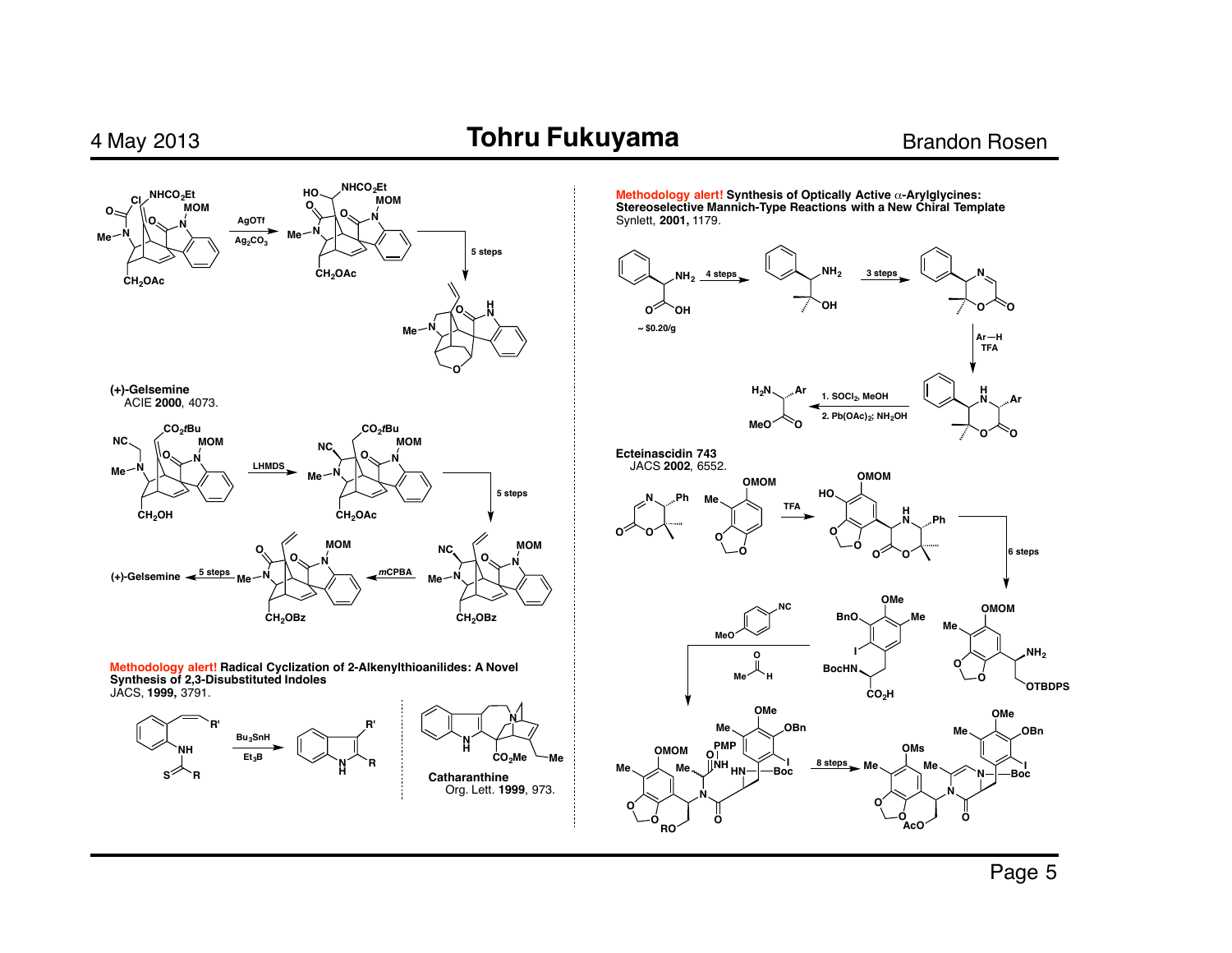

**Methodology alert! Radical Cyclization of 2-Alkenylthioanilides: A Novel Synthesis of 2,3-Disubstituted Indoles** JACS, **1999,** 3791.





**Methodology alert! Synthesis of Optically Active** α**-Arylglycines: Stereoselective Mannich-Type Reactions with a New Chiral Template** Synlett, **2001,** 1179.



**Ecteinascidin 743** JACS **2002**, 6552.

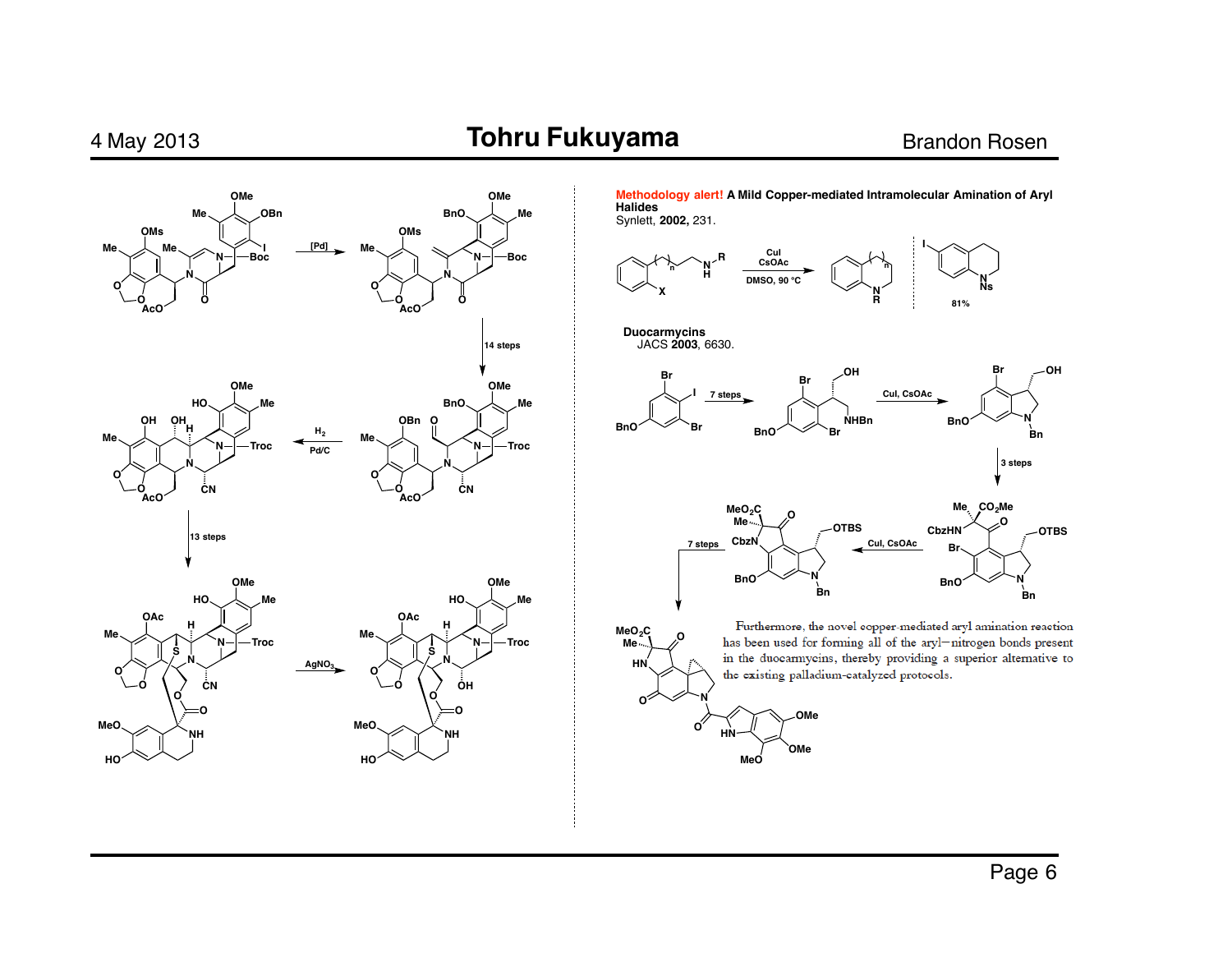

**Methodology alert! A Mild Copper-mediated Intramolecular Amination of Aryl Halides** Synlett, **2002,** 231.





**N**

**<sup>O</sup> HN**

**MeO**

**OMe**

**OMe**

**HN**

**O**

**<sup>O</sup> MeO2C Me**





Furthermore, the novel copper-mediated aryl amination reaction has been used for forming all of the aryl-nitrogen bonds present in the duocarmycins, thereby providing a superior alternative to the existing palladium-catalyzed protocols.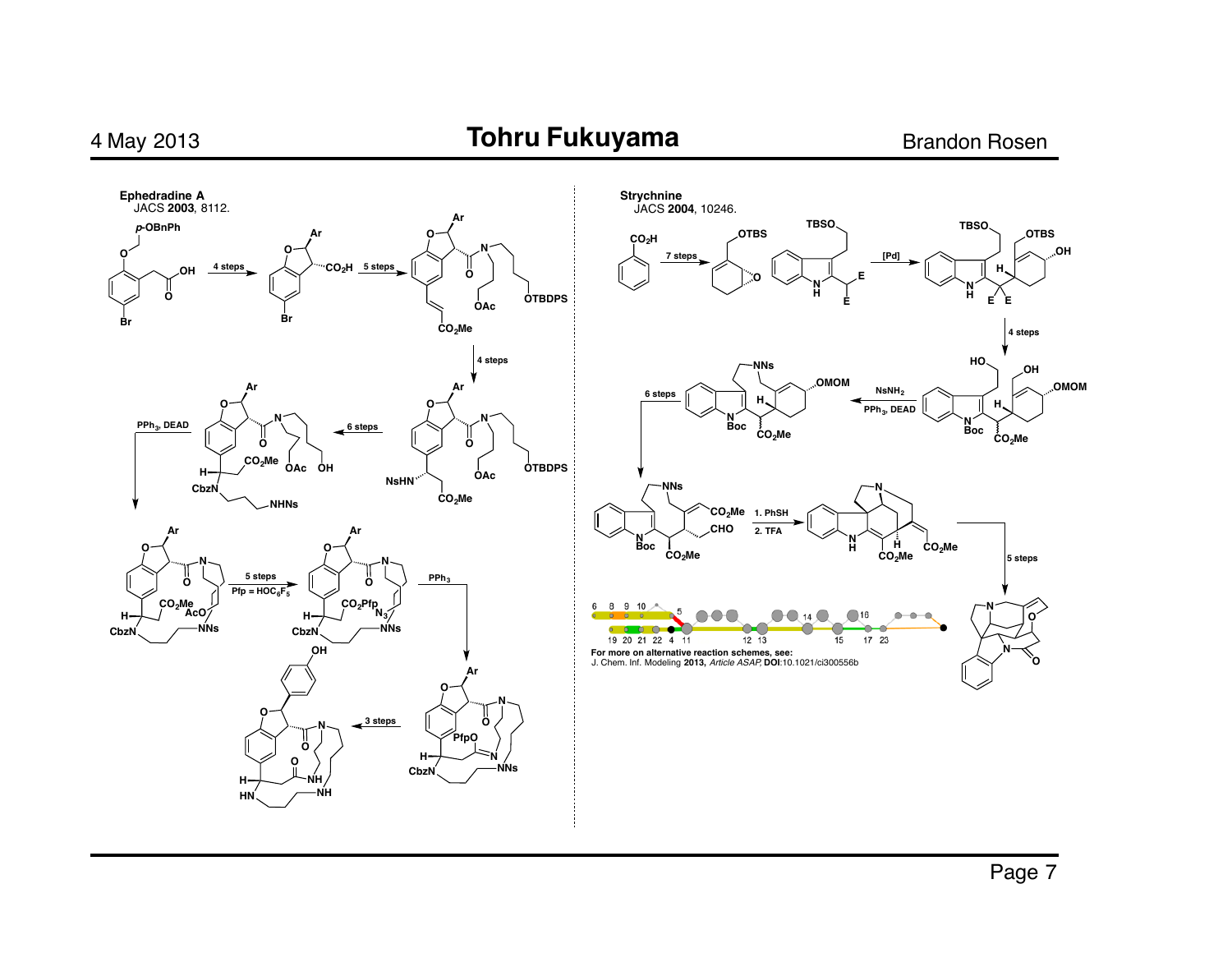

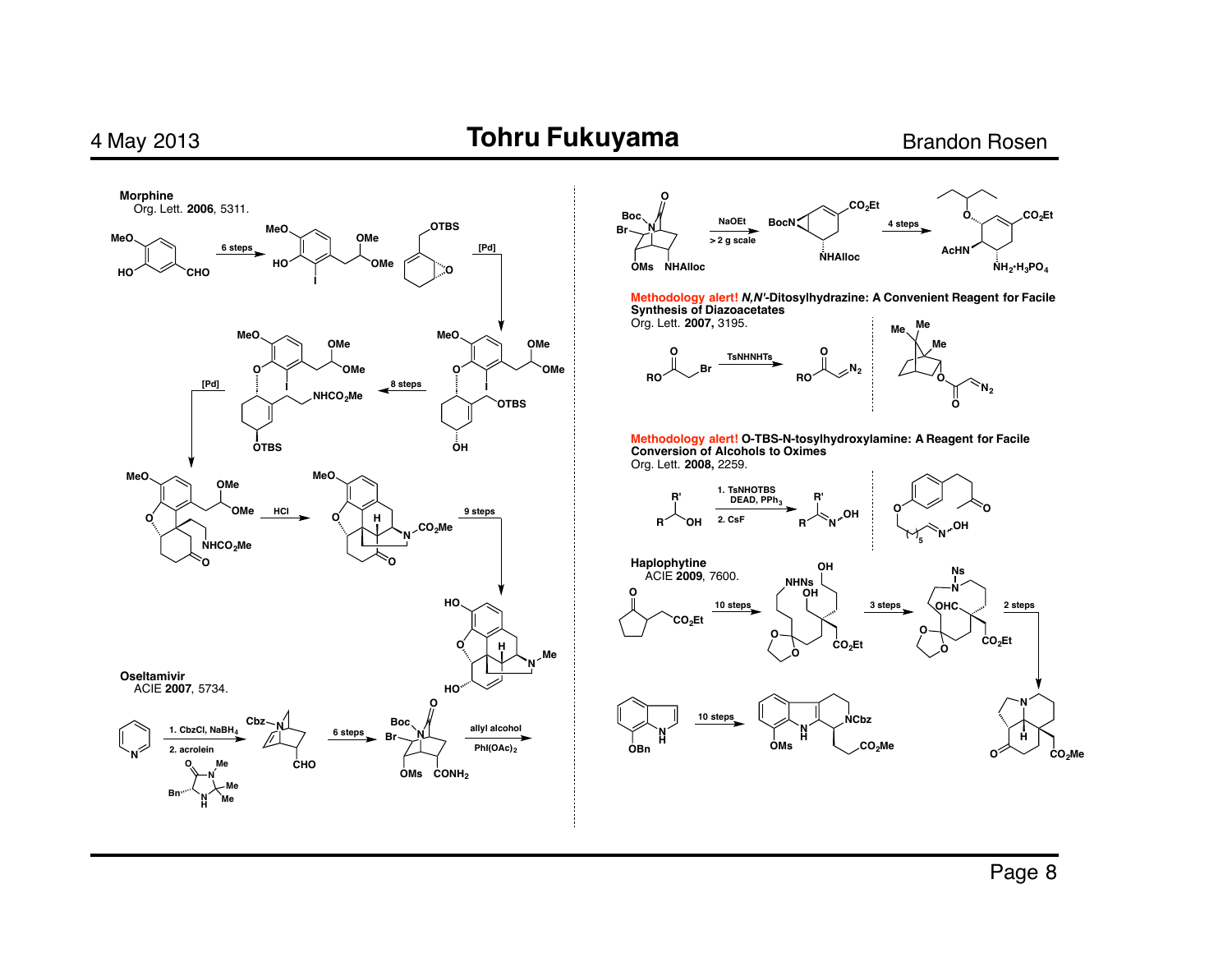



**Methodology alert!** *N,N'***-Ditosylhydrazine: A Convenient Reagent for Facile Synthesis of Diazoacetates**



**Methodology alert! O-TBS-N-tosylhydroxylamine: A Reagent for Facile Conversion of Alcohols to Oximes** Org. Lett. **2008,** 2259.



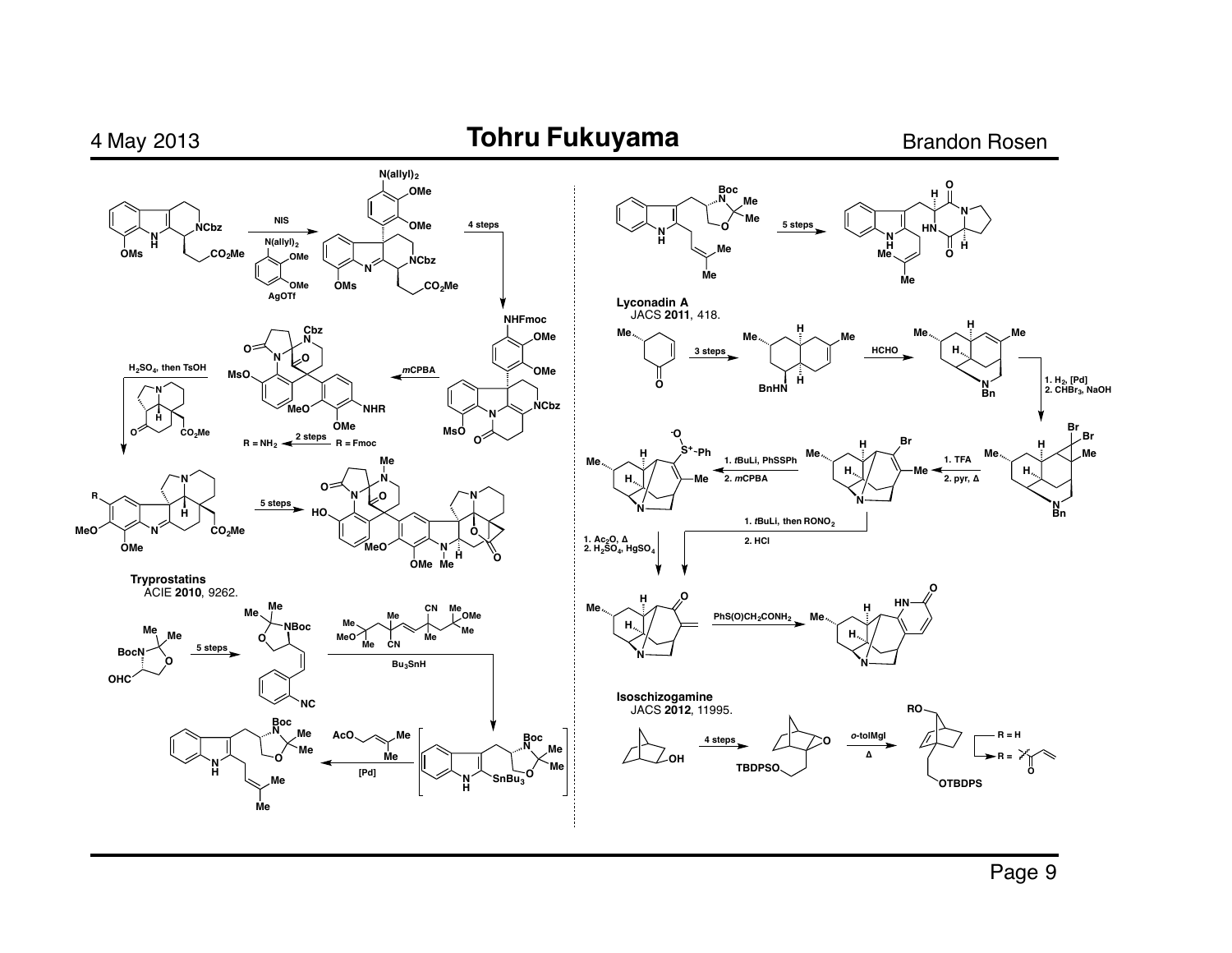

#### **Tohru Fukuyama**